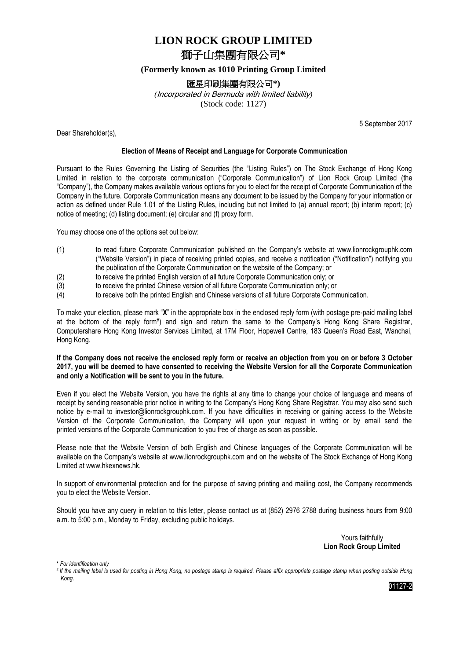# **LION ROCK GROUP LIMITED** 獅子山集團有限公司**\***

## **(Formerly known as 1010 Printing Group Limited**

# 匯星印刷集團有限公司**\*)**

*(*Incorporated in Bermuda with limited liability*)* (Stock code: 1127)

Dear Shareholder(s),

5 September 2017

## **Election of Means of Receipt and Language for Corporate Communication**

Pursuant to the Rules Governing the Listing of Securities (the "Listing Rules") on The Stock Exchange of Hong Kong Limited in relation to the corporate communication ("Corporate Communication") of Lion Rock Group Limited (the "Company"), the Company makes available various options for you to elect for the receipt of Corporate Communication of the Company in the future. Corporate Communication means any document to be issued by the Company for your information or action as defined under Rule 1.01 of the Listing Rules, including but not limited to (a) annual report; (b) interim report; (c) notice of meeting; (d) listing document; (e) circular and (f) proxy form.

You may choose one of the options set out below:

- (1) to read future Corporate Communication published on the Company's website at www.lionrockgrouphk.com ("Website Version") in place of receiving printed copies, and receive a notification ("Notification") notifying you the publication of the Corporate Communication on the website of the Company; or
- (2) to receive the printed English version of all future Corporate Communication only; or
- (3) to receive the printed Chinese version of all future Corporate Communication only; or
- (4) to receive both the printed English and Chinese versions of all future Corporate Communication.

To make your election, please mark "**X**" in the appropriate box in the enclosed reply form (with postage pre-paid mailing label at the bottom of the reply form# ) and sign and return the same to the Company's Hong Kong Share Registrar, Computershare Hong Kong Investor Services Limited, at 17M Floor, Hopewell Centre, 183 Queen's Road East, Wanchai, Hong Kong.

## **If the Company does not receive the enclosed reply form or receive an objection from you on or before 3 October 2017, you will be deemed to have consented to receiving the Website Version for all the Corporate Communication and only a Notification will be sent to you in the future.**

Even if you elect the Website Version, you have the rights at any time to change your choice of language and means of receipt by sending reasonable prior notice in writing to the Company's Hong Kong Share Registrar. You may also send such notice by e-mail to investor@lionrockgrouphk.com. If you have difficulties in receiving or gaining access to the Website Version of the Corporate Communication, the Company will upon your request in writing or by email send the printed versions of the Corporate Communication to you free of charge as soon as possible.

Please note that the Website Version of both English and Chinese languages of the Corporate Communication will be available on the Company's website at www.lionrockgrouphk.com and on the website of The Stock Exchange of Hong Kong Limited at www.hkexnews.hk.

In support of environmental protection and for the purpose of saving printing and mailing cost, the Company recommends you to elect the Website Version.

Should you have any query in relation to this letter, please contact us at (852) 2976 2788 during business hours from 9:00 a.m. to 5:00 p.m., Monday to Friday, excluding public holidays.

> Yours faithfully **Lion Rock Group Limited**

**\*** *For identification only*

*# If the mailing label is used for posting in Hong Kong, no postage stamp is required. Please affix appropriate postage stamp when posting outside Hong Kong.*

01127-2